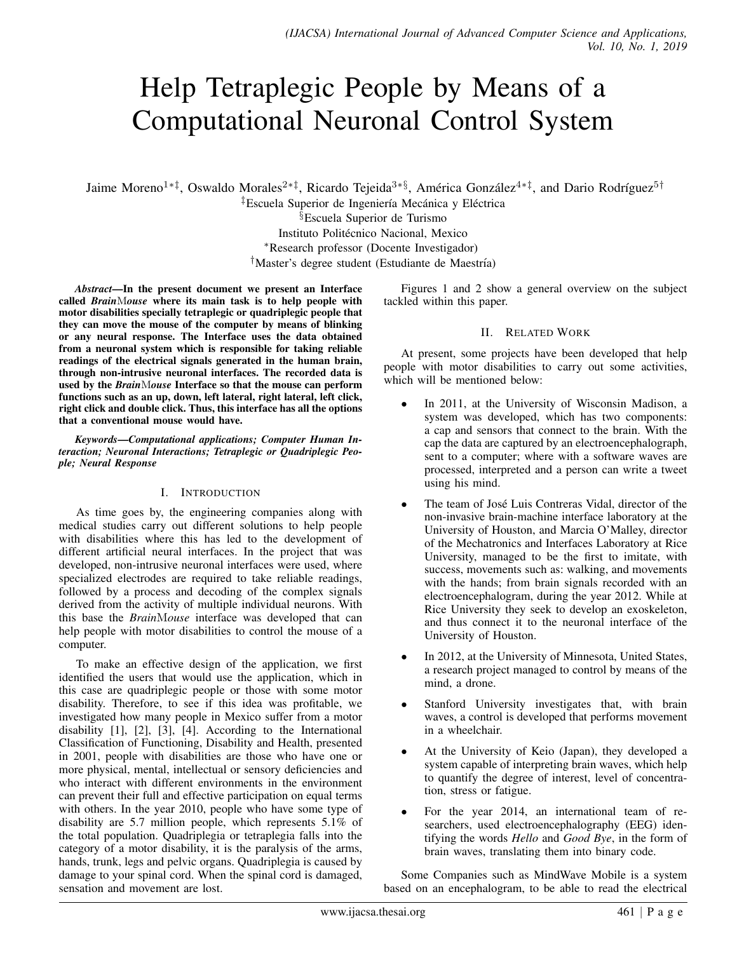# Help Tetraplegic People by Means of a Computational Neuronal Control System

Jaime Moreno<sup>1∗‡</sup>, Oswaldo Morales<sup>2∗‡</sup>, Ricardo Tejeida<sup>3∗§</sup>, América González<sup>4∗‡</sup>, and Dario Rodríguez<sup>5†</sup>

<sup>‡</sup>Escuela Superior de Ingeniería Mecánica y Eléctrica §Escuela Superior de Turismo Instituto Politécnico Nacional, Mexico <sup>∗</sup>Research professor (Docente Investigador) <sup>†</sup>Master's degree student (Estudiante de Maestría)

*Abstract*—In the present document we present an Interface called *Brain*M*ouse* where its main task is to help people with motor disabilities specially tetraplegic or quadriplegic people that they can move the mouse of the computer by means of blinking or any neural response. The Interface uses the data obtained from a neuronal system which is responsible for taking reliable readings of the electrical signals generated in the human brain, through non-intrusive neuronal interfaces. The recorded data is used by the *Brain*M*ouse* Interface so that the mouse can perform functions such as an up, down, left lateral, right lateral, left click, right click and double click. Thus, this interface has all the options that a conventional mouse would have.

*Keywords*—*Computational applications; Computer Human Interaction; Neuronal Interactions; Tetraplegic or Quadriplegic People; Neural Response*

## I. INTRODUCTION

As time goes by, the engineering companies along with medical studies carry out different solutions to help people with disabilities where this has led to the development of different artificial neural interfaces. In the project that was developed, non-intrusive neuronal interfaces were used, where specialized electrodes are required to take reliable readings, followed by a process and decoding of the complex signals derived from the activity of multiple individual neurons. With this base the *Brain*M*ouse* interface was developed that can help people with motor disabilities to control the mouse of a computer.

To make an effective design of the application, we first identified the users that would use the application, which in this case are quadriplegic people or those with some motor disability. Therefore, to see if this idea was profitable, we investigated how many people in Mexico suffer from a motor disability [1], [2], [3], [4]. According to the International Classification of Functioning, Disability and Health, presented in 2001, people with disabilities are those who have one or more physical, mental, intellectual or sensory deficiencies and who interact with different environments in the environment can prevent their full and effective participation on equal terms with others. In the year 2010, people who have some type of disability are 5.7 million people, which represents 5.1% of the total population. Quadriplegia or tetraplegia falls into the category of a motor disability, it is the paralysis of the arms, hands, trunk, legs and pelvic organs. Quadriplegia is caused by damage to your spinal cord. When the spinal cord is damaged, sensation and movement are lost.

Figures 1 and 2 show a general overview on the subject tackled within this paper.

## II. RELATED WORK

At present, some projects have been developed that help people with motor disabilities to carry out some activities, which will be mentioned below:

- In 2011, at the University of Wisconsin Madison, a system was developed, which has two components: a cap and sensors that connect to the brain. With the cap the data are captured by an electroencephalograph, sent to a computer; where with a software waves are processed, interpreted and a person can write a tweet using his mind.
- The team of José Luis Contreras Vidal, director of the non-invasive brain-machine interface laboratory at the University of Houston, and Marcia O'Malley, director of the Mechatronics and Interfaces Laboratory at Rice University, managed to be the first to imitate, with success, movements such as: walking, and movements with the hands; from brain signals recorded with an electroencephalogram, during the year 2012. While at Rice University they seek to develop an exoskeleton, and thus connect it to the neuronal interface of the University of Houston.
- In 2012, at the University of Minnesota, United States, a research project managed to control by means of the mind, a drone.
- Stanford University investigates that, with brain waves, a control is developed that performs movement in a wheelchair.
- At the University of Keio (Japan), they developed a system capable of interpreting brain waves, which help to quantify the degree of interest, level of concentration, stress or fatigue.
- For the year 2014, an international team of researchers, used electroencephalography (EEG) identifying the words *Hello* and *Good Bye*, in the form of brain waves, translating them into binary code.

Some Companies such as MindWave Mobile is a system based on an encephalogram, to be able to read the electrical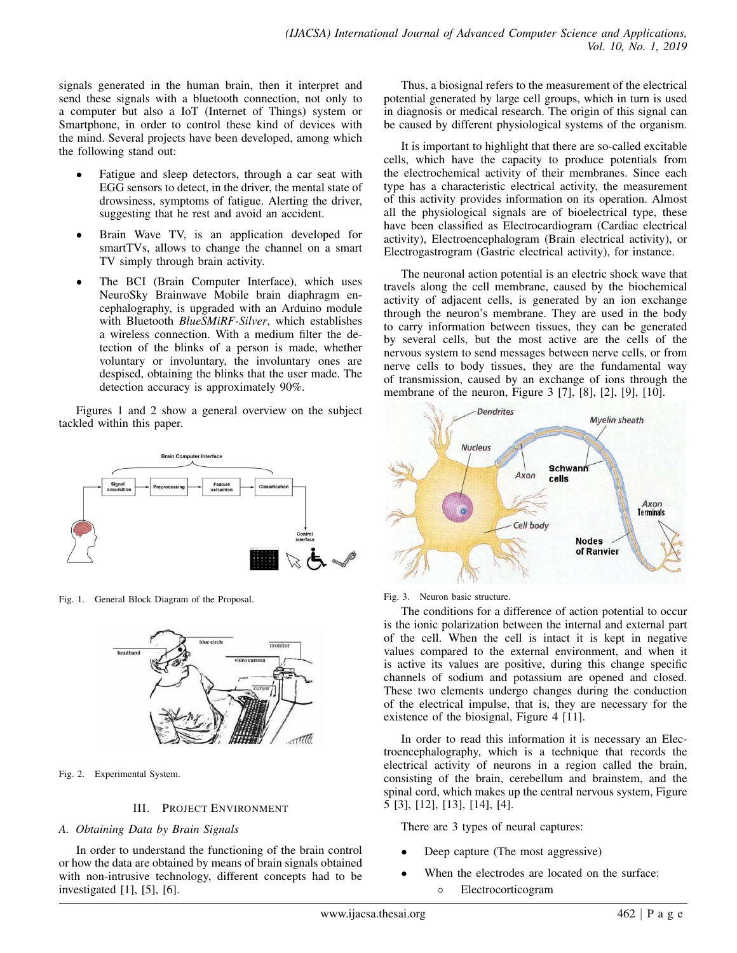signals generated in the human brain, then it interpret and send these signals with a bluetooth connection, not only to a computer but also a IoT (Internet of Things) system or Smartphone, in order to control these kind of devices with the mind. Several projects have been developed, among which the following stand out:

- Fatigue and sleep detectors, through a car seat with EGG sensors to detect, in the driver, the mental state of drowsiness, symptoms of fatigue. Alerting the driver, suggesting that he rest and avoid an accident.
- Brain Wave TV, is an application developed for smartTVs, allows to change the channel on a smart TV simply through brain activity.
- The BCI (Brain Computer Interface), which uses NeuroSky Brainwave Mobile brain diaphragm encephalography, is upgraded with an Arduino module with Bluetooth *BlueSMiRF-Silver*, which establishes a wireless connection. With a medium filter the detection of the blinks of a person is made, whether voluntary or involuntary, the involuntary ones are despised, obtaining the blinks that the user made. The detection accuracy is approximately 90%.

Figures 1 and 2 show a general overview on the subject tackled within this paper.



Fig. 1. General Block Diagram of the Proposal.



Fig. 2. Experimental System.

## III. PROJECT ENVIRONMENT

## *A. Obtaining Data by Brain Signals*

In order to understand the functioning of the brain control or how the data are obtained by means of brain signals obtained with non-intrusive technology, different concepts had to be investigated [1], [5], [6].

Thus, a biosignal refers to the measurement of the electrical potential generated by large cell groups, which in turn is used in diagnosis or medical research. The origin of this signal can be caused by different physiological systems of the organism.

It is important to highlight that there are so-called excitable cells, which have the capacity to produce potentials from the electrochemical activity of their membranes. Since each type has a characteristic electrical activity, the measurement of this activity provides information on its operation. Almost all the physiological signals are of bioelectrical type, these have been classified as Electrocardiogram (Cardiac electrical activity), Electroencephalogram (Brain electrical activity), or Electrogastrogram (Gastric electrical activity), for instance.

The neuronal action potential is an electric shock wave that travels along the cell membrane, caused by the biochemical activity of adjacent cells, is generated by an ion exchange through the neuron's membrane. They are used in the body to carry information between tissues, they can be generated by several cells, but the most active are the cells of the nervous system to send messages between nerve cells, or from nerve cells to body tissues, they are the fundamental way of transmission, caused by an exchange of ions through the membrane of the neuron, Figure 3 [7], [8], [2], [9], [10].



Fig. 3. Neuron basic structure.

The conditions for a difference of action potential to occur is the ionic polarization between the internal and external part of the cell. When the cell is intact it is kept in negative values compared to the external environment, and when it is active its values are positive, during this change specific channels of sodium and potassium are opened and closed. These two elements undergo changes during the conduction of the electrical impulse, that is, they are necessary for the existence of the biosignal, Figure 4 [11].

In order to read this information it is necessary an Electroencephalography, which is a technique that records the electrical activity of neurons in a region called the brain, consisting of the brain, cerebellum and brainstem, and the spinal cord, which makes up the central nervous system, Figure 5 [3], [12], [13], [14], [4].

There are 3 types of neural captures:

- Deep capture (The most aggressive)
- When the electrodes are located on the surface: ◦ Electrocorticogram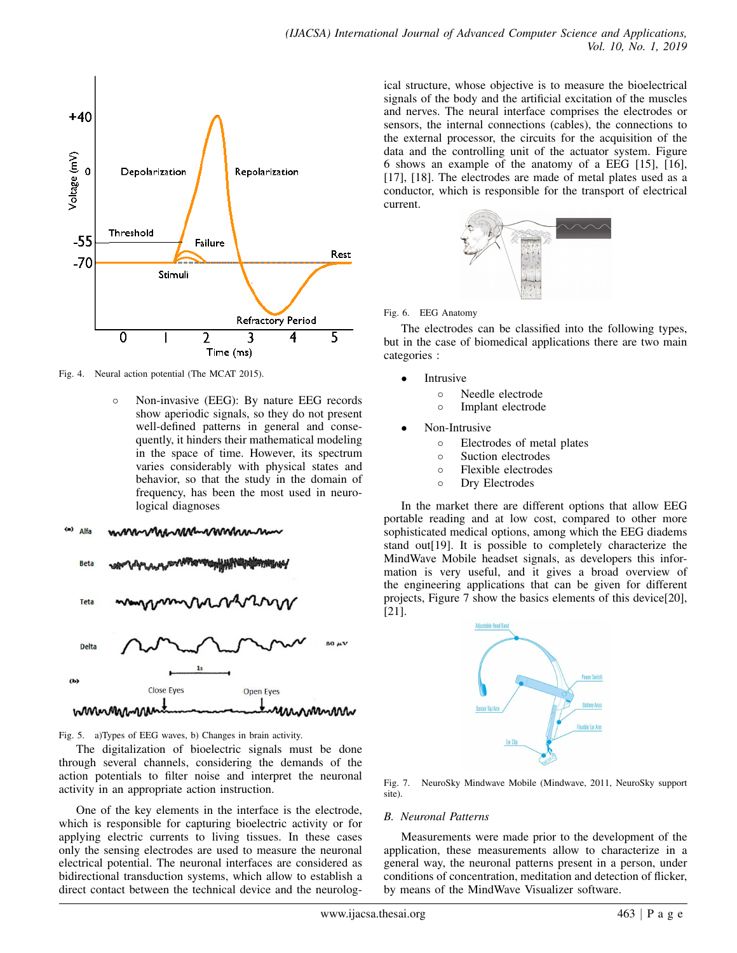

Fig. 4. Neural action potential (The MCAT 2015).

◦ Non-invasive (EEG): By nature EEG records show aperiodic signals, so they do not present well-defined patterns in general and consequently, it hinders their mathematical modeling in the space of time. However, its spectrum varies considerably with physical states and behavior, so that the study in the domain of frequency, has been the most used in neurological diagnoses

Alfa hannannnnan



Fig. 5. a)Types of EEG waves, b) Changes in brain activity.

The digitalization of bioelectric signals must be done through several channels, considering the demands of the action potentials to filter noise and interpret the neuronal activity in an appropriate action instruction.

One of the key elements in the interface is the electrode, which is responsible for capturing bioelectric activity or for applying electric currents to living tissues. In these cases only the sensing electrodes are used to measure the neuronal electrical potential. The neuronal interfaces are considered as bidirectional transduction systems, which allow to establish a direct contact between the technical device and the neurological structure, whose objective is to measure the bioelectrical signals of the body and the artificial excitation of the muscles and nerves. The neural interface comprises the electrodes or sensors, the internal connections (cables), the connections to the external processor, the circuits for the acquisition of the data and the controlling unit of the actuator system. Figure 6 shows an example of the anatomy of a EEG [15], [16], [17], [18]. The electrodes are made of metal plates used as a conductor, which is responsible for the transport of electrical current.



Fig. 6. EEG Anatomy

The electrodes can be classified into the following types, but in the case of biomedical applications there are two main categories :

- **Intrusive** 
	- Needle electrode
	- Implant electrode
- Non-Intrusive
	- Electrodes of metal plates
	- Suction electrodes
	- Flexible electrodes
	- Dry Electrodes

In the market there are different options that allow EEG portable reading and at low cost, compared to other more sophisticated medical options, among which the EEG diadems stand out[19]. It is possible to completely characterize the MindWave Mobile headset signals, as developers this information is very useful, and it gives a broad overview of the engineering applications that can be given for different projects, Figure 7 show the basics elements of this device[20], [21].



Fig. 7. NeuroSky Mindwave Mobile (Mindwave, 2011, NeuroSky support site).

## *B. Neuronal Patterns*

Measurements were made prior to the development of the application, these measurements allow to characterize in a general way, the neuronal patterns present in a person, under conditions of concentration, meditation and detection of flicker, by means of the MindWave Visualizer software.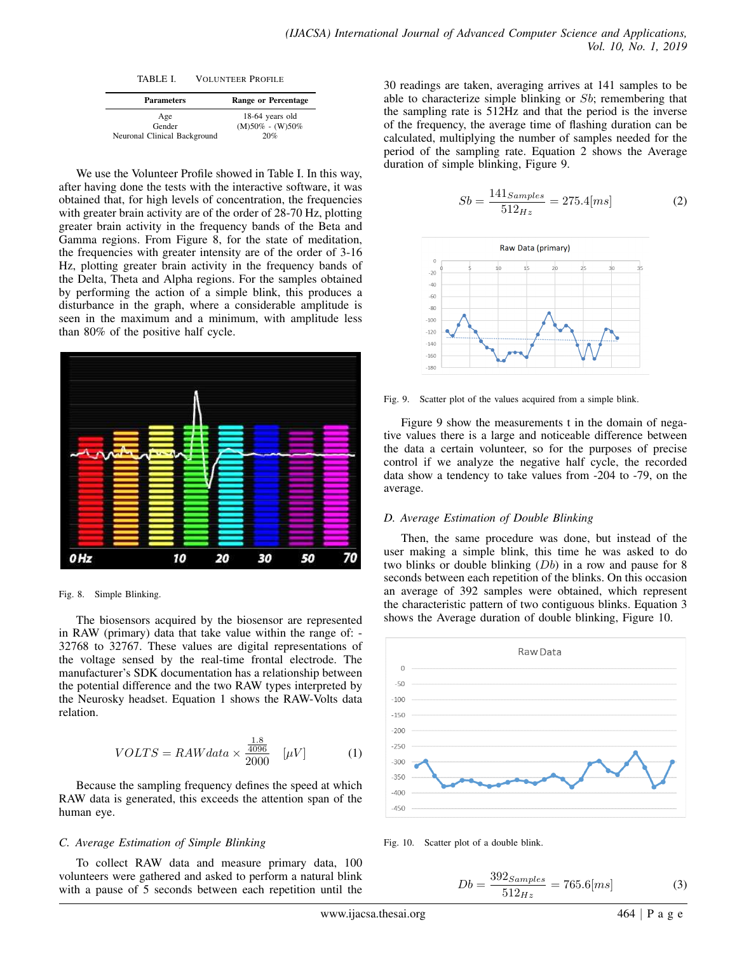TABLE I. VOLUNTEER PROFILE

| <b>Parameters</b>            | <b>Range or Percentage</b> |
|------------------------------|----------------------------|
| Age                          | 18-64 years old            |
| Gender                       | $(M)50\% - (W)50\%$        |
| Neuronal Clinical Background | 20%                        |

We use the Volunteer Profile showed in Table I. In this way, after having done the tests with the interactive software, it was obtained that, for high levels of concentration, the frequencies with greater brain activity are of the order of 28-70 Hz, plotting greater brain activity in the frequency bands of the Beta and Gamma regions. From Figure 8, for the state of meditation, the frequencies with greater intensity are of the order of 3-16 Hz, plotting greater brain activity in the frequency bands of the Delta, Theta and Alpha regions. For the samples obtained by performing the action of a simple blink, this produces a disturbance in the graph, where a considerable amplitude is seen in the maximum and a minimum, with amplitude less than 80% of the positive half cycle.



Fig. 8. Simple Blinking.

The biosensors acquired by the biosensor are represented in RAW (primary) data that take value within the range of: - 32768 to 32767. These values are digital representations of the voltage sensed by the real-time frontal electrode. The manufacturer's SDK documentation has a relationship between the potential difference and the two RAW types interpreted by the Neurosky headset. Equation 1 shows the RAW-Volts data relation.

$$
VOLTS = RAWdata \times \frac{\frac{1.8}{4096}}{2000} \quad [\mu V] \tag{1}
$$

Because the sampling frequency defines the speed at which RAW data is generated, this exceeds the attention span of the human eye.

## *C. Average Estimation of Simple Blinking*

To collect RAW data and measure primary data, 100 volunteers were gathered and asked to perform a natural blink with a pause of 5 seconds between each repetition until the 30 readings are taken, averaging arrives at 141 samples to be able to characterize simple blinking or Sb; remembering that the sampling rate is 512Hz and that the period is the inverse of the frequency, the average time of flashing duration can be calculated, multiplying the number of samples needed for the period of the sampling rate. Equation 2 shows the Average duration of simple blinking, Figure 9.

$$
Sb = \frac{141_{Samples}}{512_{Hz}} = 275.4 [ms]
$$
 (2)



Fig. 9. Scatter plot of the values acquired from a simple blink.

Figure 9 show the measurements t in the domain of negative values there is a large and noticeable difference between the data a certain volunteer, so for the purposes of precise control if we analyze the negative half cycle, the recorded data show a tendency to take values from -204 to -79, on the average.

## *D. Average Estimation of Double Blinking*

Then, the same procedure was done, but instead of the user making a simple blink, this time he was asked to do two blinks or double blinking  $(Db)$  in a row and pause for 8 seconds between each repetition of the blinks. On this occasion an average of 392 samples were obtained, which represent the characteristic pattern of two contiguous blinks. Equation 3 shows the Average duration of double blinking, Figure 10.



Fig. 10. Scatter plot of a double blink.

$$
Db = \frac{392_{Samples}}{512_{Hz}} = 765.6 [ms]
$$
 (3)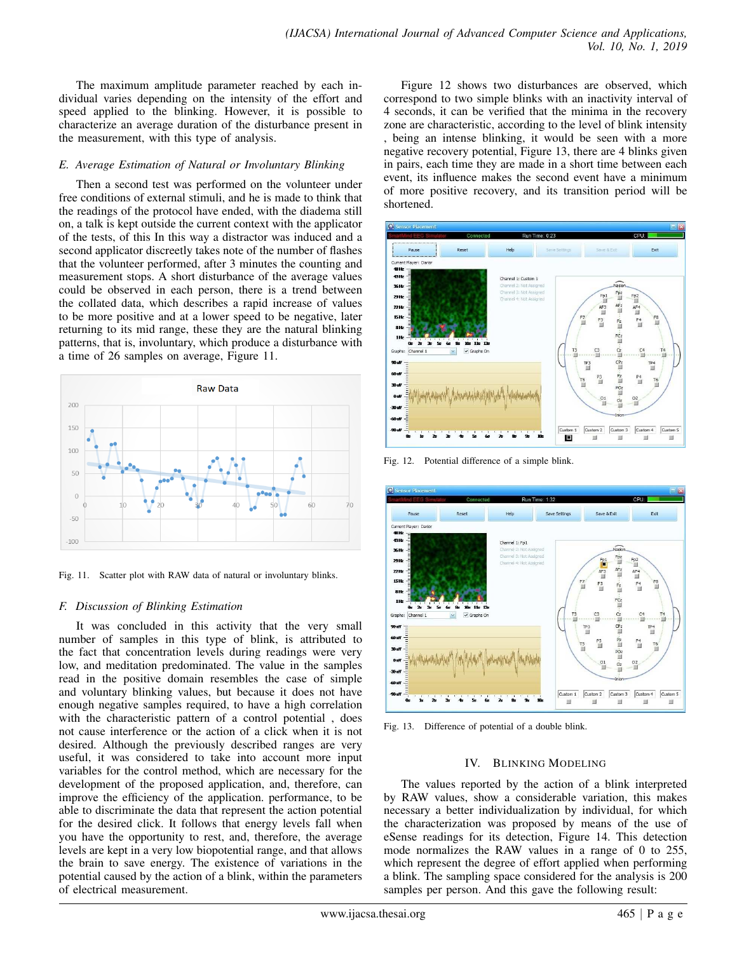The maximum amplitude parameter reached by each individual varies depending on the intensity of the effort and speed applied to the blinking. However, it is possible to characterize an average duration of the disturbance present in the measurement, with this type of analysis.

## *E. Average Estimation of Natural or Involuntary Blinking*

Then a second test was performed on the volunteer under free conditions of external stimuli, and he is made to think that the readings of the protocol have ended, with the diadema still on, a talk is kept outside the current context with the applicator of the tests, of this In this way a distractor was induced and a second applicator discreetly takes note of the number of flashes that the volunteer performed, after 3 minutes the counting and measurement stops. A short disturbance of the average values could be observed in each person, there is a trend between the collated data, which describes a rapid increase of values to be more positive and at a lower speed to be negative, later returning to its mid range, these they are the natural blinking patterns, that is, involuntary, which produce a disturbance with a time of 26 samples on average, Figure 11.



Fig. 11. Scatter plot with RAW data of natural or involuntary blinks.

## *F. Discussion of Blinking Estimation*

It was concluded in this activity that the very small number of samples in this type of blink, is attributed to the fact that concentration levels during readings were very low, and meditation predominated. The value in the samples read in the positive domain resembles the case of simple and voluntary blinking values, but because it does not have enough negative samples required, to have a high correlation with the characteristic pattern of a control potential , does not cause interference or the action of a click when it is not desired. Although the previously described ranges are very useful, it was considered to take into account more input variables for the control method, which are necessary for the development of the proposed application, and, therefore, can improve the efficiency of the application. performance, to be able to discriminate the data that represent the action potential for the desired click. It follows that energy levels fall when you have the opportunity to rest, and, therefore, the average levels are kept in a very low biopotential range, and that allows the brain to save energy. The existence of variations in the potential caused by the action of a blink, within the parameters of electrical measurement.

Figure 12 shows two disturbances are observed, which correspond to two simple blinks with an inactivity interval of 4 seconds, it can be verified that the minima in the recovery zone are characteristic, according to the level of blink intensity , being an intense blinking, it would be seen with a more negative recovery potential, Figure 13, there are 4 blinks given in pairs, each time they are made in a short time between each event, its influence makes the second event have a minimum of more positive recovery, and its transition period will be shortened.



Fig. 12. Potential difference of a simple blink.



Fig. 13. Difference of potential of a double blink.

## IV. BLINKING MODELING

The values reported by the action of a blink interpreted by RAW values, show a considerable variation, this makes necessary a better individualization by individual, for which the characterization was proposed by means of the use of eSense readings for its detection, Figure 14. This detection mode normalizes the RAW values in a range of 0 to 255, which represent the degree of effort applied when performing a blink. The sampling space considered for the analysis is 200 samples per person. And this gave the following result: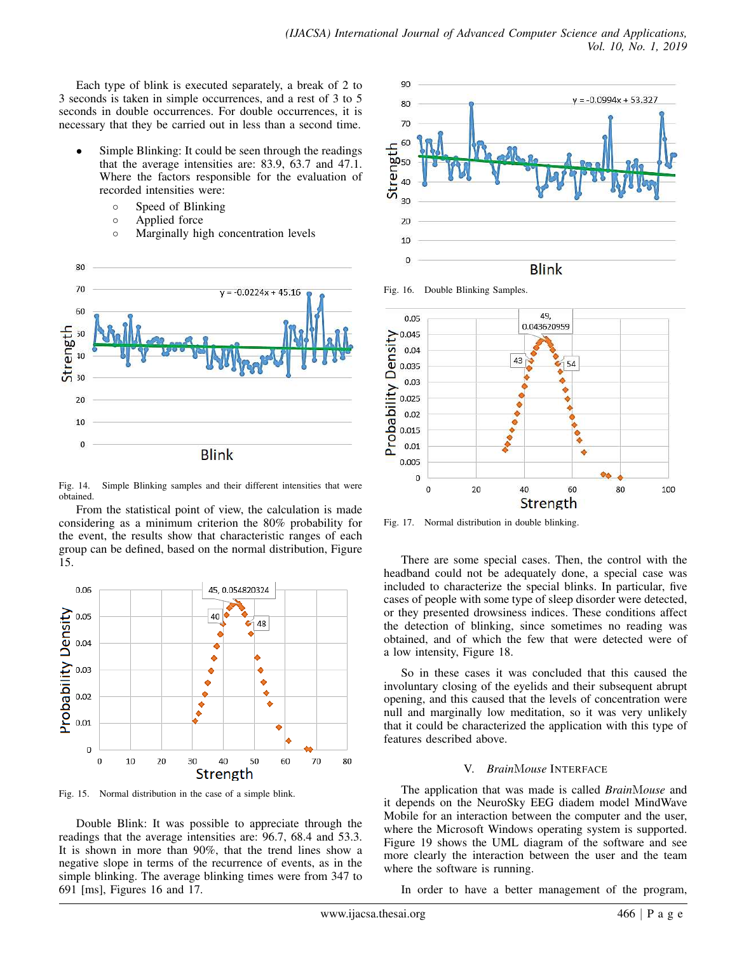Each type of blink is executed separately, a break of 2 to 3 seconds is taken in simple occurrences, and a rest of 3 to 5 seconds in double occurrences. For double occurrences, it is necessary that they be carried out in less than a second time.

- Simple Blinking: It could be seen through the readings that the average intensities are: 83.9, 63.7 and 47.1. Where the factors responsible for the evaluation of recorded intensities were:
	- Speed of Blinking
	- Applied force
	- Marginally high concentration levels



Fig. 14. Simple Blinking samples and their different intensities that were obtained.

From the statistical point of view, the calculation is made considering as a minimum criterion the 80% probability for the event, the results show that characteristic ranges of each group can be defined, based on the normal distribution, Figure 15.



Fig. 15. Normal distribution in the case of a simple blink.

Double Blink: It was possible to appreciate through the readings that the average intensities are: 96.7, 68.4 and 53.3. It is shown in more than 90%, that the trend lines show a negative slope in terms of the recurrence of events, as in the simple blinking. The average blinking times were from 347 to 691 [ms], Figures 16 and 17.



Fig. 16. Double Blinking Samples.



Fig. 17. Normal distribution in double blinking.

There are some special cases. Then, the control with the headband could not be adequately done, a special case was included to characterize the special blinks. In particular, five cases of people with some type of sleep disorder were detected, or they presented drowsiness indices. These conditions affect the detection of blinking, since sometimes no reading was obtained, and of which the few that were detected were of a low intensity, Figure 18.

So in these cases it was concluded that this caused the involuntary closing of the eyelids and their subsequent abrupt opening, and this caused that the levels of concentration were null and marginally low meditation, so it was very unlikely that it could be characterized the application with this type of features described above.

## V. *Brain*M*ouse* INTERFACE

The application that was made is called *Brain*M*ouse* and it depends on the NeuroSky EEG diadem model MindWave Mobile for an interaction between the computer and the user, where the Microsoft Windows operating system is supported. Figure 19 shows the UML diagram of the software and see more clearly the interaction between the user and the team where the software is running.

In order to have a better management of the program,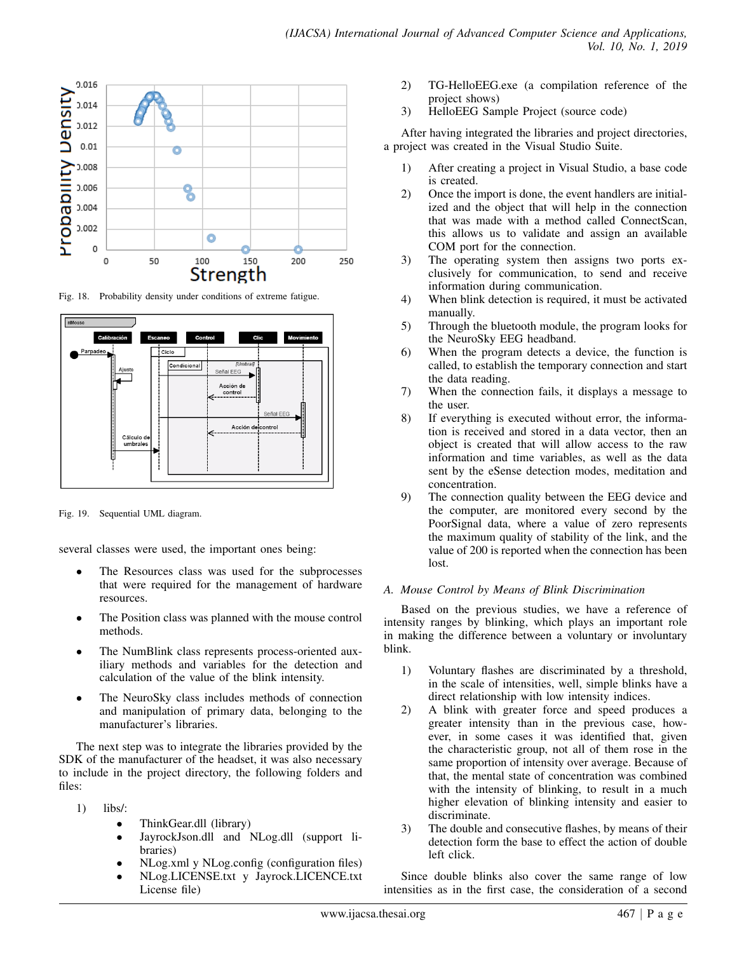

Fig. 18. Probability density under conditions of extreme fatigue.



Fig. 19. Sequential UML diagram.

several classes were used, the important ones being:

- The Resources class was used for the subprocesses that were required for the management of hardware resources.
- The Position class was planned with the mouse control methods.
- The NumBlink class represents process-oriented auxiliary methods and variables for the detection and calculation of the value of the blink intensity.
- The NeuroSky class includes methods of connection and manipulation of primary data, belonging to the manufacturer's libraries.

The next step was to integrate the libraries provided by the SDK of the manufacturer of the headset, it was also necessary to include in the project directory, the following folders and files:

- 1) libs/:
	- ThinkGear.dll (library)
	- JayrockJson.dll and NLog.dll (support libraries)
	- NLog.xml y NLog.config (configuration files)
	- NLog.LICENSE.txt y Jayrock.LICENCE.txt License file)
- 2) TG-HelloEEG.exe (a compilation reference of the project shows)
- 3) HelloEEG Sample Project (source code)

After having integrated the libraries and project directories, a project was created in the Visual Studio Suite.

- 1) After creating a project in Visual Studio, a base code is created.
- 2) Once the import is done, the event handlers are initialized and the object that will help in the connection that was made with a method called ConnectScan, this allows us to validate and assign an available COM port for the connection.
- 3) The operating system then assigns two ports exclusively for communication, to send and receive information during communication.
- 4) When blink detection is required, it must be activated manually.
- 5) Through the bluetooth module, the program looks for the NeuroSky EEG headband.
- 6) When the program detects a device, the function is called, to establish the temporary connection and start the data reading.
- 7) When the connection fails, it displays a message to the user.
- 8) If everything is executed without error, the information is received and stored in a data vector, then an object is created that will allow access to the raw information and time variables, as well as the data sent by the eSense detection modes, meditation and concentration.
- 9) The connection quality between the EEG device and the computer, are monitored every second by the PoorSignal data, where a value of zero represents the maximum quality of stability of the link, and the value of 200 is reported when the connection has been lost.

## *A. Mouse Control by Means of Blink Discrimination*

Based on the previous studies, we have a reference of intensity ranges by blinking, which plays an important role in making the difference between a voluntary or involuntary blink.

- 1) Voluntary flashes are discriminated by a threshold, in the scale of intensities, well, simple blinks have a direct relationship with low intensity indices.
- 2) A blink with greater force and speed produces a greater intensity than in the previous case, however, in some cases it was identified that, given the characteristic group, not all of them rose in the same proportion of intensity over average. Because of that, the mental state of concentration was combined with the intensity of blinking, to result in a much higher elevation of blinking intensity and easier to discriminate.
- 3) The double and consecutive flashes, by means of their detection form the base to effect the action of double left click.

Since double blinks also cover the same range of low intensities as in the first case, the consideration of a second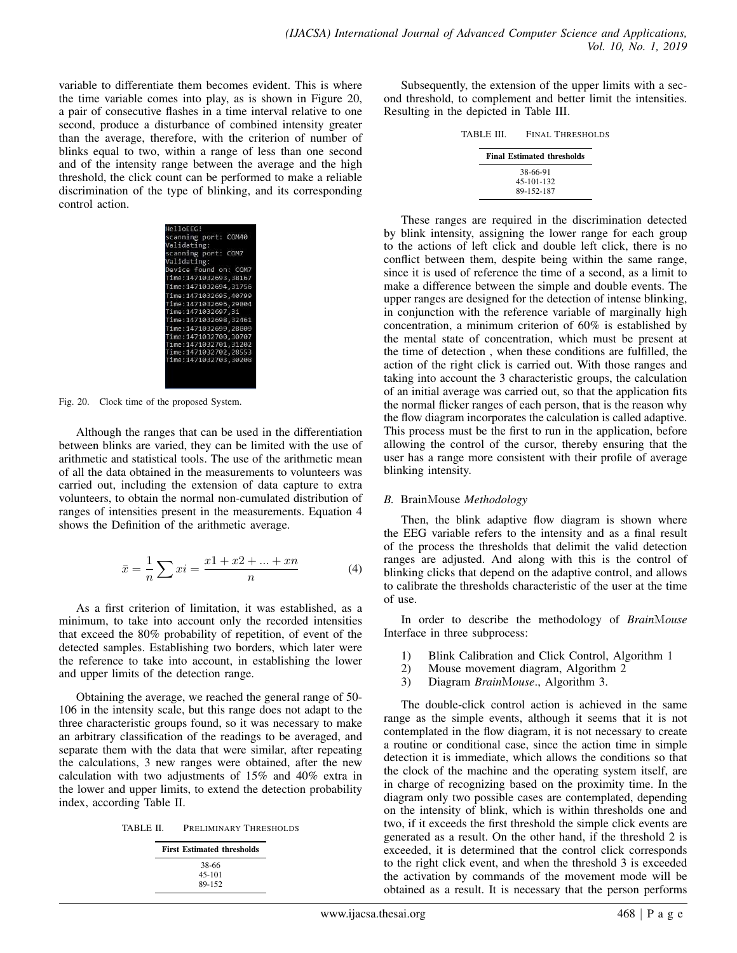variable to differentiate them becomes evident. This is where the time variable comes into play, as is shown in Figure 20, a pair of consecutive flashes in a time interval relative to one second, produce a disturbance of combined intensity greater than the average, therefore, with the criterion of number of blinks equal to two, within a range of less than one second and of the intensity range between the average and the high threshold, the click count can be performed to make a reliable discrimination of the type of blinking, and its corresponding control action.

| HelloEEG!               |
|-------------------------|
| scanning port: COM40    |
| Validating:             |
| scanning port: COM7     |
| Validating:             |
| Device found on: COM7   |
| Time:1471032693.38167   |
| Time:1471032694,31756   |
| Time:1471032695,40799   |
| Time:1471032696,29804   |
| Time:1471032697.31      |
| Time:1471032698,32461   |
| Time: 1471032699, 28809 |
| Time: 1471032700, 30707 |
| Time:1471032701.31202   |
| Time:1471032702,28553   |
| Time:1471032703.30208   |
|                         |
|                         |
|                         |

Fig. 20. Clock time of the proposed System.

Although the ranges that can be used in the differentiation between blinks are varied, they can be limited with the use of arithmetic and statistical tools. The use of the arithmetic mean of all the data obtained in the measurements to volunteers was carried out, including the extension of data capture to extra volunteers, to obtain the normal non-cumulated distribution of ranges of intensities present in the measurements. Equation 4 shows the Definition of the arithmetic average.

$$
\bar{x} = \frac{1}{n} \sum x i = \frac{x1 + x2 + \dots + xn}{n}
$$
 (4)

As a first criterion of limitation, it was established, as a minimum, to take into account only the recorded intensities that exceed the 80% probability of repetition, of event of the detected samples. Establishing two borders, which later were the reference to take into account, in establishing the lower and upper limits of the detection range.

Obtaining the average, we reached the general range of 50- 106 in the intensity scale, but this range does not adapt to the three characteristic groups found, so it was necessary to make an arbitrary classification of the readings to be averaged, and separate them with the data that were similar, after repeating the calculations, 3 new ranges were obtained, after the new calculation with two adjustments of 15% and 40% extra in the lower and upper limits, to extend the detection probability index, according Table II.

| TABLE II. | PRELIMINARY THRESHOLDS |  |
|-----------|------------------------|--|
|           |                        |  |

| <b>First Estimated thresholds</b> |
|-----------------------------------|
| 38-66                             |
| $45 - 101$                        |
| 89-152                            |

Subsequently, the extension of the upper limits with a second threshold, to complement and better limit the intensities. Resulting in the depicted in Table III.

| TABLE III. | FINAL THRESHOLDS                  |  |
|------------|-----------------------------------|--|
|            | <b>Final Estimated thresholds</b> |  |
|            | 38-66-91<br>45-101-132            |  |
|            | 89-152-187                        |  |

These ranges are required in the discrimination detected by blink intensity, assigning the lower range for each group to the actions of left click and double left click, there is no conflict between them, despite being within the same range, since it is used of reference the time of a second, as a limit to make a difference between the simple and double events. The upper ranges are designed for the detection of intense blinking, in conjunction with the reference variable of marginally high concentration, a minimum criterion of 60% is established by the mental state of concentration, which must be present at the time of detection , when these conditions are fulfilled, the action of the right click is carried out. With those ranges and taking into account the 3 characteristic groups, the calculation of an initial average was carried out, so that the application fits the normal flicker ranges of each person, that is the reason why the flow diagram incorporates the calculation is called adaptive. This process must be the first to run in the application, before allowing the control of the cursor, thereby ensuring that the user has a range more consistent with their profile of average blinking intensity.

## *B.* BrainMouse *Methodology*

Then, the blink adaptive flow diagram is shown where the EEG variable refers to the intensity and as a final result of the process the thresholds that delimit the valid detection ranges are adjusted. And along with this is the control of blinking clicks that depend on the adaptive control, and allows to calibrate the thresholds characteristic of the user at the time of use.

In order to describe the methodology of *Brain*M*ouse* Interface in three subprocess:

- 1) Blink Calibration and Click Control, Algorithm 1<br>2) Mouse movement diagram, Algorithm 2
- 2) Mouse movement diagram, Algorithm 2
- 3) Diagram *Brain*M*ouse*., Algorithm 3.

The double-click control action is achieved in the same range as the simple events, although it seems that it is not contemplated in the flow diagram, it is not necessary to create a routine or conditional case, since the action time in simple detection it is immediate, which allows the conditions so that the clock of the machine and the operating system itself, are in charge of recognizing based on the proximity time. In the diagram only two possible cases are contemplated, depending on the intensity of blink, which is within thresholds one and two, if it exceeds the first threshold the simple click events are generated as a result. On the other hand, if the threshold 2 is exceeded, it is determined that the control click corresponds to the right click event, and when the threshold 3 is exceeded the activation by commands of the movement mode will be obtained as a result. It is necessary that the person performs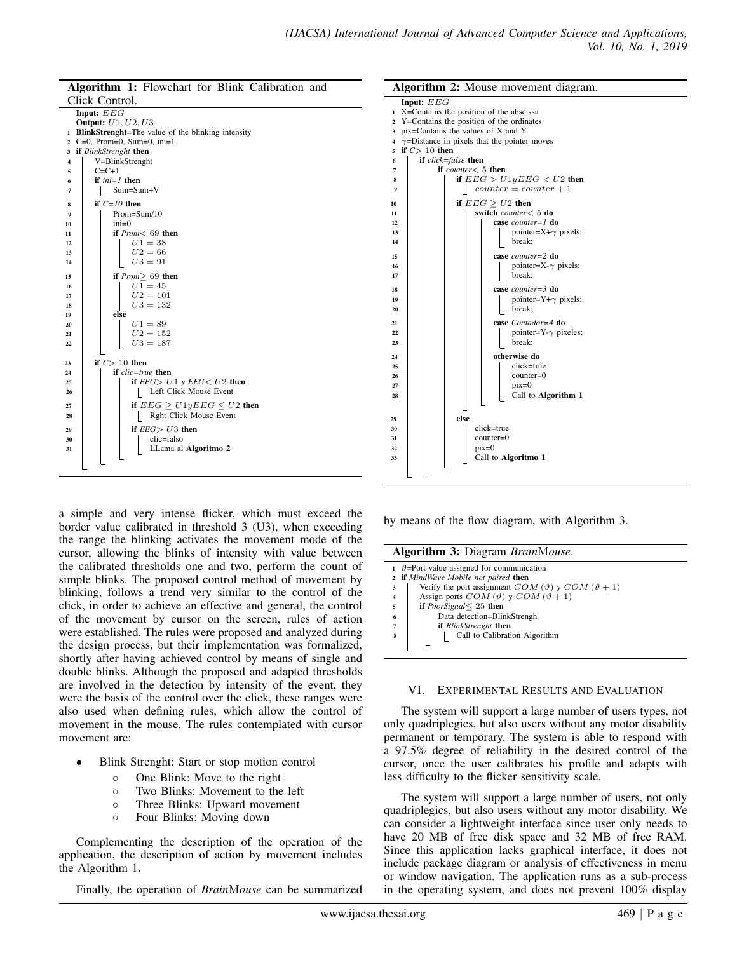| Algorithm 1: Flowchart for Blink Calibration and |                                                                                         |  |  |
|--------------------------------------------------|-----------------------------------------------------------------------------------------|--|--|
|                                                  | Click Control.                                                                          |  |  |
|                                                  | Input: $EEG$                                                                            |  |  |
|                                                  | <b>Output:</b> <i>U1, U2, U3</i><br>1 BlinkStrenght=The value of the blinking intensity |  |  |
|                                                  | $2$ C=0, Prom=0, Sum=0, ini=1                                                           |  |  |
|                                                  | 3 if BlinkStrenght then                                                                 |  |  |
| $\overline{\mathbf{4}}$                          | V=BlinkStrenght                                                                         |  |  |
| 5                                                | $C = C + 1$                                                                             |  |  |
| 6                                                | if $ini=1$ then                                                                         |  |  |
| 7                                                | $Sum = Sum + V$                                                                         |  |  |
| 8                                                | if $C=10$ then                                                                          |  |  |
| 9                                                | $Prom = Sum/10$                                                                         |  |  |
| 10                                               | $ini=0$                                                                                 |  |  |
| 11                                               | if $Prom < 69$ then                                                                     |  |  |
| 12                                               | $U1 = 38$                                                                               |  |  |
| 13                                               | $U2 = 66$                                                                               |  |  |
| 14                                               | $U3 = 91$                                                                               |  |  |
| 15                                               | if $Prom > 69$ then                                                                     |  |  |
| 16                                               | $U1 = 45$                                                                               |  |  |
| 17                                               | $U2 = 101$                                                                              |  |  |
| 18                                               | $U3 = 132$                                                                              |  |  |
| 19<br>20                                         | else<br>$U1 = 89$                                                                       |  |  |
| 21                                               | $U2 = 152$                                                                              |  |  |
| 22                                               | $U3 = 187$                                                                              |  |  |
|                                                  |                                                                                         |  |  |
| 23                                               | if $C>10$ then                                                                          |  |  |
| 24                                               | if $clic = true$ then                                                                   |  |  |
| 25                                               | if $EEG > U1$ y $EEG < U2$ then                                                         |  |  |
| 26                                               | Left Click Mouse Event                                                                  |  |  |
| 27                                               | if $EEG > U1yEEG \leq U2$ then                                                          |  |  |
| 28                                               | Rght Click Mouse Event                                                                  |  |  |
| 29                                               | if $EEG > U3$ then                                                                      |  |  |
| 30                                               | clic=falso                                                                              |  |  |
| 31                                               | LLama al Algoritmo 2                                                                    |  |  |
|                                                  |                                                                                         |  |  |

a simple and very intense flicker, which must exceed the border value calibrated in threshold 3 (U3), when exceeding the range the blinking activates the movement mode of the cursor, allowing the blinks of intensity with value between the calibrated thresholds one and two, perform the count of simple blinks. The proposed control method of movement by blinking, follows a trend very similar to the control of the click, in order to achieve an effective and general, the control of the movement by cursor on the screen, rules of action were established. The rules were proposed and analyzed during the design process, but their implementation was formalized, shortly after having achieved control by means of single and double blinks. Although the proposed and adapted thresholds are involved in the detection by intensity of the event, they were the basis of the control over the click, these ranges were also used when defining rules, which allow the control of movement in the mouse. The rules contemplated with cursor movement are:

- Blink Strenght: Start or stop motion control
	- One Blink: Move to the right
	- Two Blinks: Movement to the left
	- Three Blinks: Upward movement
	- Four Blinks: Moving down

Complementing the description of the operation of the application, the description of action by movement includes the Algorithm 1.

Finally, the operation of *Brain*M*ouse* can be summarized



by means of the flow diagram, with Algorithm 3.

|  | Algorithm 3: Diagram BrainMouse.                     |  |
|--|------------------------------------------------------|--|
|  | 1 $\vartheta$ =Port value assigned for communication |  |

|                | 2 if MindWave Mobile not paired then                               |
|----------------|--------------------------------------------------------------------|
| 3              | Verify the port assignment $COM(\vartheta)$ y $COM(\vartheta + 1)$ |
| $\overline{4}$ | Assign ports $COM(\vartheta)$ y $COM(\vartheta + 1)$               |
| 5              | if <i>PoorSignal</i> $\leq$ 25 then                                |
| - 6            | Data detection=BlinkStrengh                                        |
|                | <b>if</b> BlinkStrenght then                                       |
| $\bf{8}$       | Call to Calibration Algorithm                                      |
|                |                                                                    |
|                |                                                                    |

#### VI. EXPERIMENTAL RESULTS AND EVALUATION

The system will support a large number of users types, not only quadriplegics, but also users without any motor disability permanent or temporary. The system is able to respond with a 97.5% degree of reliability in the desired control of the cursor, once the user calibrates his profile and adapts with less difficulty to the flicker sensitivity scale.

The system will support a large number of users, not only quadriplegics, but also users without any motor disability. We can consider a lightweight interface since user only needs to have 20 MB of free disk space and 32 MB of free RAM. Since this application lacks graphical interface, it does not include package diagram or analysis of effectiveness in menu or window navigation. The application runs as a sub-process in the operating system, and does not prevent 100% display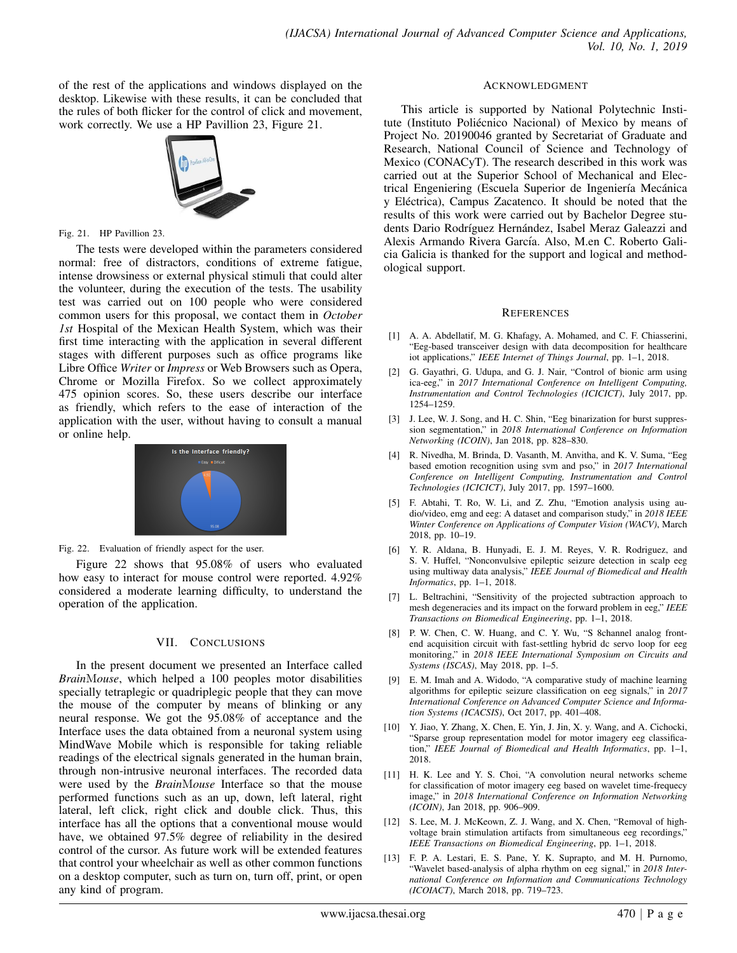of the rest of the applications and windows displayed on the desktop. Likewise with these results, it can be concluded that the rules of both flicker for the control of click and movement, work correctly. We use a HP Pavillion 23, Figure 21.



Fig. 21. HP Pavillion 23.

The tests were developed within the parameters considered normal: free of distractors, conditions of extreme fatigue, intense drowsiness or external physical stimuli that could alter the volunteer, during the execution of the tests. The usability test was carried out on 100 people who were considered common users for this proposal, we contact them in *October 1st* Hospital of the Mexican Health System, which was their first time interacting with the application in several different stages with different purposes such as office programs like Libre Office *Writer* or *Impress* or Web Browsers such as Opera, Chrome or Mozilla Firefox. So we collect approximately 475 opinion scores. So, these users describe our interface as friendly, which refers to the ease of interaction of the application with the user, without having to consult a manual or online help.



Fig. 22. Evaluation of friendly aspect for the user.

Figure 22 shows that 95.08% of users who evaluated how easy to interact for mouse control were reported. 4.92% considered a moderate learning difficulty, to understand the operation of the application.

## VII. CONCLUSIONS

In the present document we presented an Interface called *Brain*M*ouse*, which helped a 100 peoples motor disabilities specially tetraplegic or quadriplegic people that they can move the mouse of the computer by means of blinking or any neural response. We got the 95.08% of acceptance and the Interface uses the data obtained from a neuronal system using MindWave Mobile which is responsible for taking reliable readings of the electrical signals generated in the human brain, through non-intrusive neuronal interfaces. The recorded data were used by the *Brain*M*ouse* Interface so that the mouse performed functions such as an up, down, left lateral, right lateral, left click, right click and double click. Thus, this interface has all the options that a conventional mouse would have, we obtained 97.5% degree of reliability in the desired control of the cursor. As future work will be extended features that control your wheelchair as well as other common functions on a desktop computer, such as turn on, turn off, print, or open any kind of program.

#### ACKNOWLEDGMENT

This article is supported by National Polytechnic Institute (Instituto Poliécnico Nacional) of Mexico by means of Project No. 20190046 granted by Secretariat of Graduate and Research, National Council of Science and Technology of Mexico (CONACyT). The research described in this work was carried out at the Superior School of Mechanical and Electrical Engeniering (Escuela Superior de Ingeniería Mecánica y Eléctrica), Campus Zacatenco. It should be noted that the results of this work were carried out by Bachelor Degree students Dario Rodríguez Hernández, Isabel Meraz Galeazzi and Alexis Armando Rivera García. Also, M.en C. Roberto Galicia Galicia is thanked for the support and logical and methodological support.

## **REFERENCES**

- [1] A. A. Abdellatif, M. G. Khafagy, A. Mohamed, and C. F. Chiasserini, "Eeg-based transceiver design with data decomposition for healthcare iot applications," *IEEE Internet of Things Journal*, pp. 1–1, 2018.
- [2] G. Gayathri, G. Udupa, and G. J. Nair, "Control of bionic arm using ica-eeg," in *2017 International Conference on Intelligent Computing, Instrumentation and Control Technologies (ICICICT)*, July 2017, pp. 1254–1259.
- [3] J. Lee, W. J. Song, and H. C. Shin, "Eeg binarization for burst suppression segmentation," in *2018 International Conference on Information Networking (ICOIN)*, Jan 2018, pp. 828–830.
- [4] R. Nivedha, M. Brinda, D. Vasanth, M. Anvitha, and K. V. Suma, "Eeg based emotion recognition using svm and pso," in *2017 International Conference on Intelligent Computing, Instrumentation and Control Technologies (ICICICT)*, July 2017, pp. 1597–1600.
- [5] F. Abtahi, T. Ro, W. Li, and Z. Zhu, "Emotion analysis using audio/video, emg and eeg: A dataset and comparison study," in *2018 IEEE Winter Conference on Applications of Computer Vision (WACV)*, March 2018, pp. 10–19.
- [6] Y. R. Aldana, B. Hunyadi, E. J. M. Reyes, V. R. Rodriguez, and S. V. Huffel, "Nonconvulsive epileptic seizure detection in scalp eeg using multiway data analysis," *IEEE Journal of Biomedical and Health Informatics*, pp. 1–1, 2018.
- [7] L. Beltrachini, "Sensitivity of the projected subtraction approach to mesh degeneracies and its impact on the forward problem in eeg," *IEEE Transactions on Biomedical Engineering*, pp. 1–1, 2018.
- [8] P. W. Chen, C. W. Huang, and C. Y. Wu, "S 8channel analog frontend acquisition circuit with fast-settling hybrid dc servo loop for eeg monitoring," in *2018 IEEE International Symposium on Circuits and Systems (ISCAS)*, May 2018, pp. 1–5.
- [9] E. M. Imah and A. Widodo, "A comparative study of machine learning algorithms for epileptic seizure classification on eeg signals," in *2017 International Conference on Advanced Computer Science and Information Systems (ICACSIS)*, Oct 2017, pp. 401–408.
- [10] Y. Jiao, Y. Zhang, X. Chen, E. Yin, J. Jin, X. y. Wang, and A. Cichocki, "Sparse group representation model for motor imagery eeg classification," *IEEE Journal of Biomedical and Health Informatics*, pp. 1–1, 2018.
- [11] H. K. Lee and Y. S. Choi, "A convolution neural networks scheme for classification of motor imagery eeg based on wavelet time-frequecy image," in *2018 International Conference on Information Networking (ICOIN)*, Jan 2018, pp. 906–909.
- [12] S. Lee, M. J. McKeown, Z. J. Wang, and X. Chen, "Removal of highvoltage brain stimulation artifacts from simultaneous eeg recordings," *IEEE Transactions on Biomedical Engineering*, pp. 1–1, 2018.
- [13] F. P. A. Lestari, E. S. Pane, Y. K. Suprapto, and M. H. Purnomo, "Wavelet based-analysis of alpha rhythm on eeg signal," in 2018 Inter*national Conference on Information and Communications Technology (ICOIACT)*, March 2018, pp. 719–723.